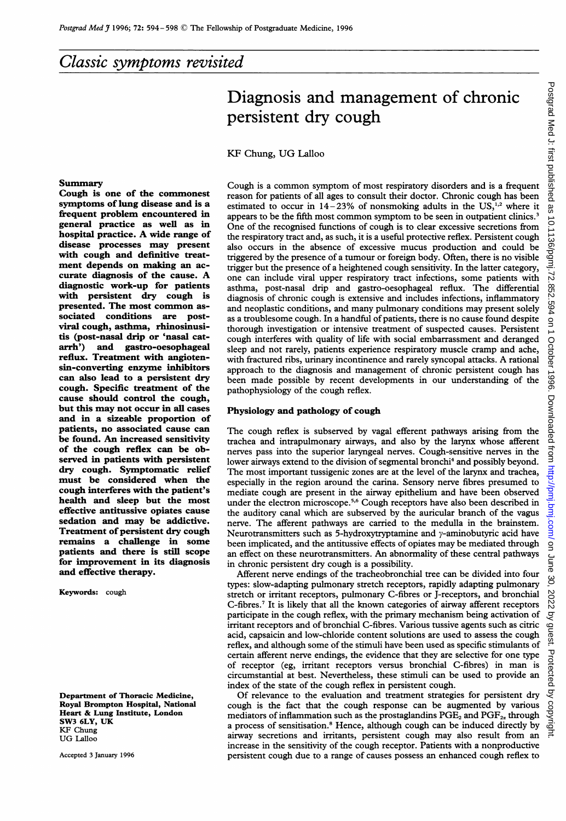# Diagnosis and management of chronic persistent dry cough

KF Chung, UG Lalloo

## Summary

Cough is one of the commonest symptoms of lung disease and is a frequent problem encountered in general practice as well as in hospital practice. A wide range of disease processes may present with cough and definitive treatment depends on making an accurate diagnosis of the cause. A diagnostic work-up for patients with persistent dry cough is presented. The most common associated conditions are postviral cough, asthma, rhinosinusitis (post-nasal drip or 'nasal catarrh') and gastro-oesophageal reflux. Treatment with angiotensin-converting enzyme inhibitors can also lead to a persistent dry cough. Specific treatment of the cause should control the cough, but this may not occur in all cases and in a sizeable proportion of patients, no associated cause can be found. An increased sensitivity of the cough reflex can be observed in patients with persistent dry cough. Symptomatic relief must be considered when the cough interferes with the patient's health and sleep but the most effective antitussive opiates cause sedation and may be addictive. Treatment of persistent dry cough remains a challenge in some patients and there is still scope for improvement in its diagnosis and effective therapy.

Keywords: cough

Department of Thoracic Medicine, Royal Brompton Hospital, National Heart & Lung Institute, London SW3 6LY, UK KF Chung UG Lalloo

Accepted 3 January 1996

Cough is <sup>a</sup> common symptom of most respiratory disorders and is <sup>a</sup> frequent reason for patients of all ages to consult their doctor. Chronic cough has been estimated to occur in  $14-23%$  of nonsmoking adults in the US,<sup>1,2</sup> where it appears to be the fifth most common symptom to be seen in outpatient clinics.<sup>3</sup> One of the recognised functions of cough is to clear excessive secretions from the respiratory tract and, as such, it is a useful protective reflex. Persistent cough also occurs in the absence of excessive mucus production and could be triggered by the presence of a tumour or foreign body. Often, there is no visible trigger but the presence of a heightened cough sensitivity. In the latter category, one can include viral upper respiratory tract infections, some patients with asthma, post-nasal drip and gastro-oesophageal reflux. The differential diagnosis of chronic cough is extensive and includes infections, inflammatory and neoplastic conditions, and many pulmonary conditions may present solely as a troublesome cough. In a handful of patients, there is no cause found despite thorough investigation or intensive treatment of suspected causes. Persistent cough interferes with quality of life with social embarrassment and deranged sleep and not rarely, patients experience respiratory muscle cramp and ache, with fractured ribs, urinary incontinence and rarely syncopal attacks. A rational approach to the diagnosis and management of chronic persistent cough has been made possible by recent developments in our understanding of the pathophysiology of the cough reflex.

## Physiology and pathology of cough

The cough reflex is subserved by vagal efferent pathways arising from the trachea and intrapulmonary airways, and also by the larynx whose afferent nerves pass into the superior laryngeal nerves. Cough-sensitive nerves in the lower airways extend to the division of segmental bronchi<sup>4</sup> and possibly beyond. The most important tussigenic zones are at the level of the larynx and trachea, especially in the region around the carina. Sensory nerve fibres presumed to mediate cough are present in the airway epithelium and have been observed under the electron microscope.<sup>5,6</sup> Cough receptors have also been described in the auditory canal which are subserved by the auricular branch of the vagus nerve. The afferent pathways are carried to the medulla in the brainstem. Neurotransmitters such as 5-hydroxytryptamine and  $\gamma$ -aminobutyric acid have been implicated, and the antitussive effects of opiates may be mediated through an effect on these neurotransmitters. An abnormality of these central pathways in chronic persistent dry cough is a possibility.

Afferent nerve endings of the tracheobronchial tree can be divided into four types: slow-adapting pulmonary stretch receptors, rapidly adapting pulmonary stretch or irritant receptors, pulmonary C-fibres or J-receptors, and bronchial C-fibres.7 It is likely that all the known categories of airway afferent receptors participate in the cough reflex, with the primary mechanism being activation of irritant receptors and of bronchial C-fibres. Various tussive agents such as citric acid, capsaicin and low-chloride content solutions are used to assess the cough reflex, and although some of the stimuli have been used as specific stimulants of certain afferent nerve endings, the evidence that they are selective for one type of receptor (eg, irritant receptors versus bronchial C-fibres) in man is circumstantial at best. Nevertheless, these stimuli can be used to provide an index of the state of the cough reflex in persistent cough.

Of relevance to the evaluation and treatment strategies for persistent dry cough is the fact that the cough response can be augmented by various mediators of inflammation such as the prostaglandins  $PGE_2$  and  $PGF_{2a}$  through a process of sensitisation.8 Hence, although cough can be induced directly by airway secretions and irritants, persistent cough may also result from an increase in the sensitivity of the cough receptor. Patients with a nonproductive persistent cough due to a range of causes possess an enhanced cough reflex to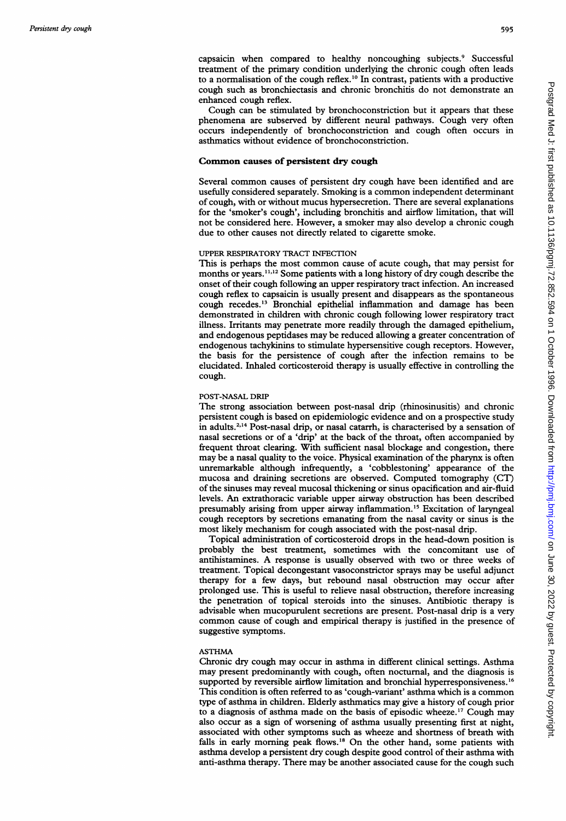capsaicin when compared to healthy noncoughing subjects.<sup>9</sup> Successful treatment of the primary condition underlying the chronic cough often leads to a normalisation of the cough reflex.<sup>10</sup> In contrast, patients with a productive cough such as bronchiectasis and chronic bronchitis do not demonstrate an enhanced cough reflex.

Cough can be stimulated by bronchoconstriction but it appears that these phenomena are subserved by different neural pathways. Cough very often occurs independently of bronchoconstriction and cough often occurs in asthmatics without evidence of bronchoconstriction.

#### Common causes of persistent dry cough

Several common causes of persistent dry cough have been identified and are usefully considered separately. Smoking is <sup>a</sup> common independent determinant of cough, with or without mucus hypersecretion. There are several explanations for the 'smoker's cough', including bronchitis and airflow limitation, that will not be considered here. However, a smoker may also develop a chronic cough due to other causes not directly related to cigarette smoke.

### UPPER RESPIRATORY TRACT INFECTION

This is perhaps the most common cause of acute cough, that may persist for months or years.<sup>11,12</sup> Some patients with a long history of dry cough describe the onset of their cough following an upper respiratory tract infection. An increased cough reflex to capsaicin is usually present and disappears as the spontaneous cough recedes.'3 Bronchial epithelial inflammation and damage has been demonstrated in children with chronic cough following lower respiratory tract illness. Irritants may penetrate more readily through the damaged epithelium, and endogenous peptidases may be reduced allowing a greater concentration of endogenous tachykinins to stimulate hypersensitive cough receptors. However, the basis for the persistence of cough after the infection remains to be elucidated. Inhaled corticosteroid therapy is usually effective in controlling the cough.

#### POST-NASAL DRIP

The strong association between post-nasal drip (rhinosinusitis) and chronic persistent cough is based on epidemiologic evidence and on a prospective study in adults.2'4 Post-nasal drip, or nasal catarrh, is characterised by a sensation of nasal secretions or of a 'drip' at the back of the throat, often accompanied by frequent throat clearing. With sufficient nasal blockage and congestion, there may be a nasal quality to the voice. Physical examination of the pharynx is often unremarkable although infrequently, a 'cobblestoning' appearance of the mucosa and draining secretions are observed. Computed tomography (CT) of the sinuses may reveal mucosal thickening or sinus opacification and air-fluid levels. An extrathoracic variable upper airway obstruction has been described presumably arising from upper airway inflammation.'5 Excitation of laryngeal cough receptors by secretions emanating from the nasal cavity or sinus is the most likely mechanism for cough associated with the post-nasal drip.

Topical administration of corticosteroid drops in the head-down position is probably the best treatment, sometimes with the concomitant use of antihistamines. A response is usually observed with two or three weeks of treatment. Topical decongestant vasoconstrictor sprays may be useful adjunct therapy for a few days, but rebound nasal obstruction may occur after prolonged use. This is useful to relieve nasal obstruction, therefore increasing the penetration of topical steroids into the sinuses. Antibiotic therapy is advisable when mucopurulent secretions are present. Post-nasal drip is a very common cause of cough and empirical therapy is justified in the presence of suggestive symptoms.

## ASTHMA

Chronic dry cough may occur in asthma in different clinical settings. Asthma may present predominantly with cough, often nocturnal, and the diagnosis is supported by reversible airflow limitation and bronchial hyperresponsiveness.<sup>16</sup> This condition is often referred to as 'cough-variant' asthma which is <sup>a</sup> common type of asthma in children. Elderly asthmatics may give a history of cough prior to a diagnosis of asthma made on the basis of episodic wheeze.'7 Cough may also occur as a sign of worsening of asthma usually presenting first at night, associated with other symptoms such as wheeze and shortness of breath with falls in early morning peak flows.'8 On the other hand, some patients with asthma develop a persistent dry cough despite good control of their asthma with anti-asthma therapy. There may be another associated cause for the cough such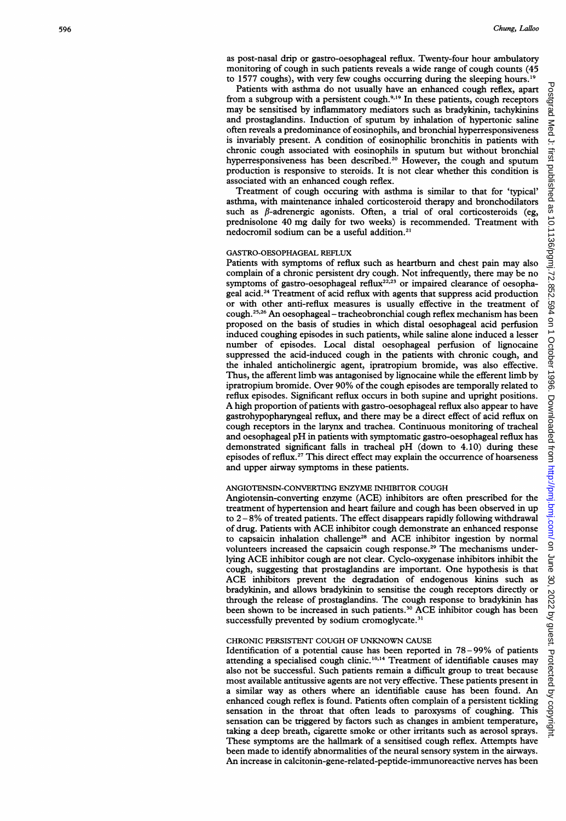as post-nasal drip or gastro-oesophageal reflux. Twenty-four hour ambulatory monitoring of cough in such patients reveals a wide range of cough counts (45 to 1577 coughs), with very few coughs occurring during the sleeping hours.'9

Patients with asthma do not usually have an enhanced cough reflex, apart from a subgroup with a persistent cough.<sup>9,19</sup> In these patients, cough receptors may be sensitised by inflammatory mediators such as bradykinin, tachykinins and prostaglandins. Induction of sputum by inhalation of hypertonic saline often reveals a predominance of eosinophils, and bronchial hyperresponsiveness is invariably present. A condition of eosinophilic bronchitis in patients with chronic cough associated with eosinophils in sputum but without bronchial hyperresponsiveness has been described.<sup>20</sup> However, the cough and sputum production is responsive to steroids. It is not clear whether this condition is associated with an enhanced cough reflex.

Treatment of cough occuring with asthma is similar to that for 'typical' asthma, with maintenance inhaled corticosteroid therapy and bronchodilators such as  $\beta$ -adrenergic agonists. Often, a trial of oral corticosteroids (eg, prednisolone 40 mg daily for two weeks) is recommended. Treatment with nedocromil sodium can be a useful addition.<sup>21</sup>

#### GASTRO-OESOPHAGEAL REFLUX

Patients with symptoms of reflux such as heartburn and chest pain may also complain of <sup>a</sup> chronic persistent dry cough. Not infrequently, there may be no symptoms of gastro-oesophageal reflux $2^{2,23}$  or impaired clearance of oesophageal acid.<sup>24</sup> Treatment of acid reflux with agents that suppress acid production or with other anti-reflux measures is usually effective in the treatment of cough.<sup>25,26</sup> An oesophageal - tracheobronchial cough reflex mechanism has been proposed on the basis of studies in which distal oesophageal acid perfusion induced coughing episodes in such patients, while saline alone induced a lesser number of episodes. Local distal oesophageal perfusion of lignocaine suppressed the acid-induced cough in the patients with chronic cough, and the inhaled anticholinergic agent, ipratropium bromide, was also effective. Thus, the afferent limb was antagonised by lignocaine while the efferent limb by ipratropium bromide. Over 90% of the cough episodes are temporally related to reflux episodes. Significant reflux occurs in both supine and upright positions. A high proportion of patients with gastro-oesophageal reflux also appear to have gastrohypopharyngeal reflux, and there may be a direct effect of acid reflux on cough receptors in the larynx and trachea. Continuous monitoring of tracheal and oesophageal pH in patients with symptomatic gastro-oesophageal reflux has demonstrated significant falls in tracheal pH (down to 4.10) during these episodes of reflux.<sup>27</sup> This direct effect may explain the occurrence of hoarseness and upper airway symptoms in these patients.

## ANGIOTENSIN-CONVERTING ENZYME INHIBITOR COUGH

Angiotensin-converting enzyme (ACE) inhibitors are often prescribed for the treatment of hypertension and heart failure and cough has been observed in up to 2 - 8% of treated patients. The effect disappears rapidly following withdrawal of drug. Patients with ACE inhibitor cough demonstrate an enhanced response to capsaicin inhalation challenge'8 and ACE inhibitor ingestion by normal volunteers increased the capsaicin cough response.<sup>29</sup> The mechanisms underlying ACE inhibitor cough are not clear. Cyclo-oxygenase inhibitors inhibit the cough, suggesting that prostaglandins are important. One hypothesis is that ACE inhibitors prevent the degradation of endogenous kinins such as bradykinin, and allows bradykinin to sensitise the cough receptors directly or through the release of prostaglandins. The cough response to bradykinin has been shown to be increased in such patients.<sup>30</sup> ACE inhibitor cough has been successfully prevented by sodium cromoglycate.<sup>31</sup>

## CHRONIC PERSISTENT COUGH OF UNKNOWN CAUSE

Identification of a potential cause has been reported in 78–99% of patients attending a specialised cough clinic.<sup>10,14</sup> Treatment of identifiable causes may also not be successful. Such patients remain a difficult group to treat because most available antitussive agents are not very effective. These patients present in <sup>a</sup> similar way as others where an identifiable cause has been found. An enhanced cough reflex is found. Patients often complain of a persistent tickling sensation in the throat that often leads to paroxysms of coughing. This sensation can be triggered by factors such as changes in ambient temperature, taking a deep breath, cigarette smoke or other irritants such as aerosol sprays. These symptoms are the hallmark of a sensitised cough reflex. Attempts have been made to identify abnormalities of the neural sensory system in the airways. An increase in calcitonin-gene-related-peptide-immunoreactive nerves has been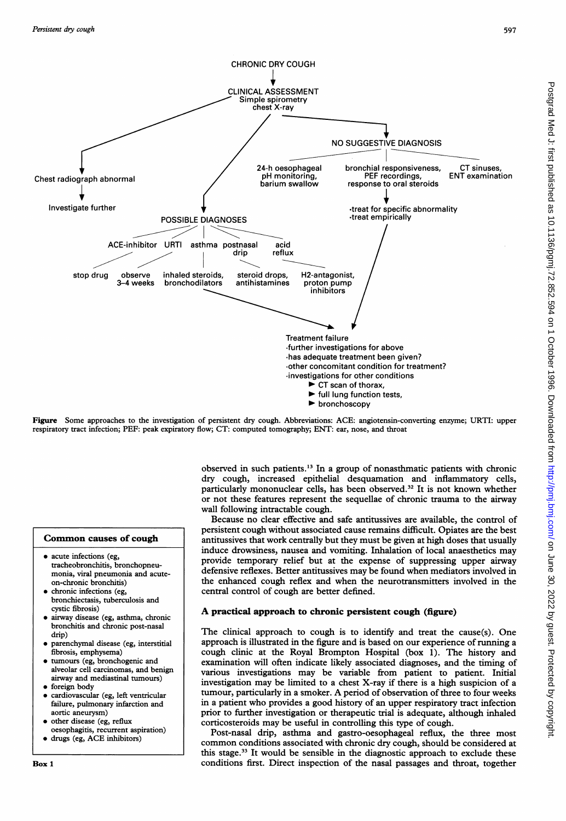

Figure Some approaches to the investigation of persistent dry cough. Abbreviations: ACE: angiotensin-converting enzyme; URTI: upper respiratory tract infection; PEF: peak expiratory flow; CT: computed tomography; ENT: ear, nose, and throat

## Common causes of cough

- acute infections (eg, tracheobronchitis, bronchopneumonia, viral pneumonia and acuteon-chronic bronchitis)
- chronic infections (eg, bronchiectasis, tuberculosis and cystic fibrosis)
- airway disease (eg, asthma, chronic bronchitis and chronic post-nasal drip)
- parenchymal disease (eg, interstitial fibrosis, emphysema)
- $\bullet$  tumours (eg, bronchogenic and alveolar cell carcinomas, and benign airway and mediastinal tumours) foreign body
- cardiovascular (eg, left ventricular failure, pulmonary infarction and aortic aneurysm)
- other disease (eg, reflux oesophagitis, recurrent aspiration)
- drugs (eg, ACE inhibitors)

Box <sup>1</sup>

observed in such patients." In a group of nonasthmatic patients with chronic dry cough, increased epithelial desquamation and inflammatory cells, particularly mononuclear cells, has been observed.<sup>32</sup> It is not known whether or not these features represent the sequellae of chronic trauma to the airway wall following intractable cough.

Because no clear effective and safe antitussives are available, the control of persistent cough without associated cause remains difficult. Opiates are the best antitussives that work centrally but they must be given at high doses that usually induce drowsiness, nausea and vomiting. Inhalation of local anaesthetics may provide temporary relief but at the expense of suppressing upper airway defensive reflexes. Better antitussives may be found when mediators involved in the enhanced cough reflex and when the neurotransmitters involved in the central control of cough are better defined.

# A practical approach to chronic persistent cough (figure)

The clinical approach to cough is to identify and treat the cause(s). One approach is illustrated in the figure and is based on our experience of running a cough clinic at the Royal Brompton Hospital (box 1). The history and examination will often indicate likely associated diagnoses, and the timing of various investigations may be variable from patient to patient. Initial investigation may be limited to <sup>a</sup> chest X-ray if there is a high suspicion of <sup>a</sup> tumour, particularly in <sup>a</sup> smoker. A period of observation of three to four weeks in <sup>a</sup> patient who provides a good history of an upper respiratory tract infection prior to further investigation or therapeutic trial is adequate, although inhaled corticosteroids may be useful in controlling this type of cough.

Post-nasal drip, asthma and gastro-oesophageal reflux, the three most common conditions associated with chronic dry cough, should be considered at this stage.<sup>33</sup> It would be sensible in the diagnostic approach to exclude these conditions first. Direct inspection of the nasal passages and throat, together